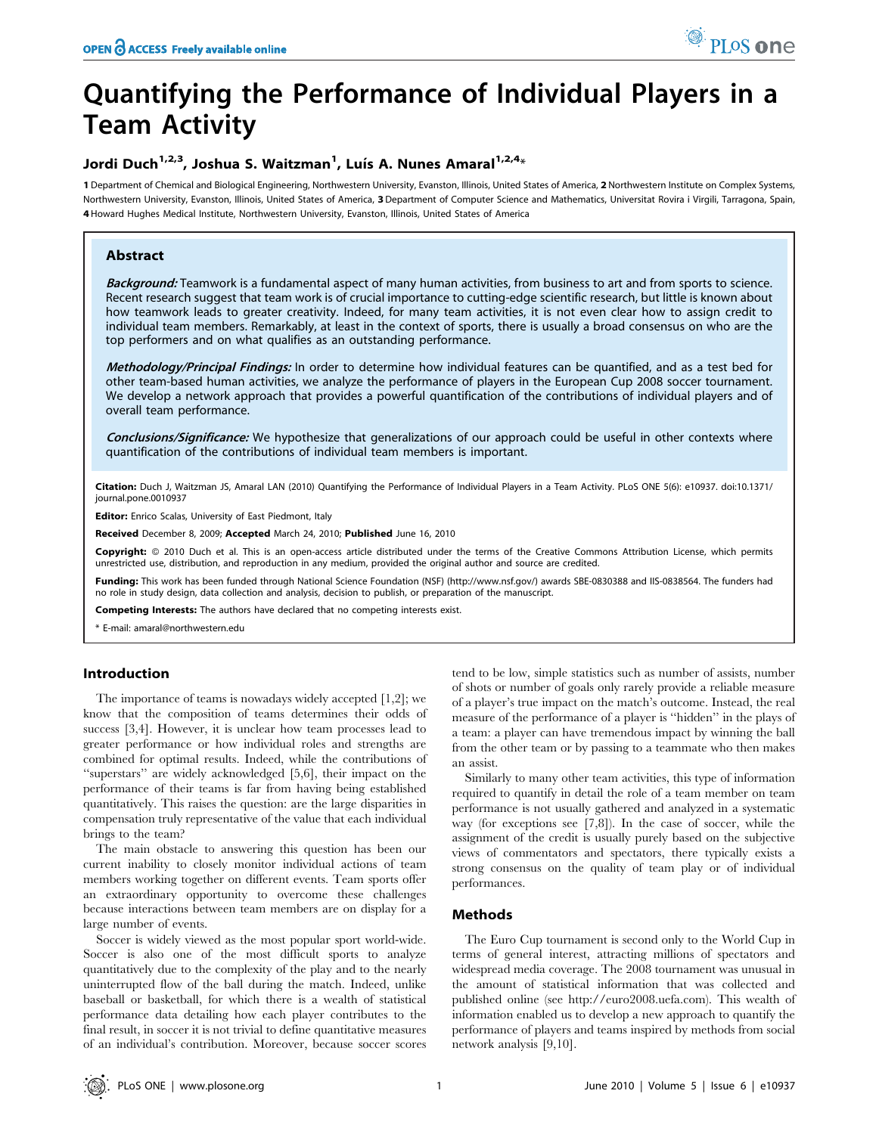# Quantifying the Performance of Individual Players in a Team Activity

### Jordi Duch<sup>1,2,3</sup>, Joshua S. Waitzman<sup>1</sup>, Luís A. Nunes Amaral<sup>1,2,4</sup>\*

1 Department of Chemical and Biological Engineering, Northwestern University, Evanston, Illinois, United States of America, 2 Northwestern Institute on Complex Systems, Northwestern University, Evanston, Illinois, United States of America, 3 Department of Computer Science and Mathematics, Universitat Rovira i Virgili, Tarragona, Spain, 4 Howard Hughes Medical Institute, Northwestern University, Evanston, Illinois, United States of America

#### Abstract

Background: Teamwork is a fundamental aspect of many human activities, from business to art and from sports to science. Recent research suggest that team work is of crucial importance to cutting-edge scientific research, but little is known about how teamwork leads to greater creativity. Indeed, for many team activities, it is not even clear how to assign credit to individual team members. Remarkably, at least in the context of sports, there is usually a broad consensus on who are the top performers and on what qualifies as an outstanding performance.

Methodology/Principal Findings: In order to determine how individual features can be quantified, and as a test bed for other team-based human activities, we analyze the performance of players in the European Cup 2008 soccer tournament. We develop a network approach that provides a powerful quantification of the contributions of individual players and of overall team performance.

Conclusions/Significance: We hypothesize that generalizations of our approach could be useful in other contexts where quantification of the contributions of individual team members is important.

Citation: Duch J, Waitzman JS, Amaral LAN (2010) Quantifying the Performance of Individual Players in a Team Activity. PLoS ONE 5(6): e10937. doi:10.1371/ journal.pone.0010937

Editor: Enrico Scalas, University of East Piedmont, Italy

Received December 8, 2009; Accepted March 24, 2010; Published June 16, 2010

Copyright: © 2010 Duch et al. This is an open-access article distributed under the terms of the Creative Commons Attribution License, which permits unrestricted use, distribution, and reproduction in any medium, provided the original author and source are credited.

Funding: This work has been funded through National Science Foundation (NSF) (http://www.nsf.gov/) awards SBE-0830388 and IIS-0838564. The funders had no role in study design, data collection and analysis, decision to publish, or preparation of the manuscript.

Competing Interests: The authors have declared that no competing interests exist.

\* E-mail: amaral@northwestern.edu

#### Introduction

The importance of teams is nowadays widely accepted [1,2]; we know that the composition of teams determines their odds of success [3,4]. However, it is unclear how team processes lead to greater performance or how individual roles and strengths are combined for optimal results. Indeed, while the contributions of ''superstars'' are widely acknowledged [5,6], their impact on the performance of their teams is far from having being established quantitatively. This raises the question: are the large disparities in compensation truly representative of the value that each individual brings to the team?

The main obstacle to answering this question has been our current inability to closely monitor individual actions of team members working together on different events. Team sports offer an extraordinary opportunity to overcome these challenges because interactions between team members are on display for a large number of events.

Soccer is widely viewed as the most popular sport world-wide. Soccer is also one of the most difficult sports to analyze quantitatively due to the complexity of the play and to the nearly uninterrupted flow of the ball during the match. Indeed, unlike baseball or basketball, for which there is a wealth of statistical performance data detailing how each player contributes to the final result, in soccer it is not trivial to define quantitative measures of an individual's contribution. Moreover, because soccer scores tend to be low, simple statistics such as number of assists, number of shots or number of goals only rarely provide a reliable measure of a player's true impact on the match's outcome. Instead, the real measure of the performance of a player is ''hidden'' in the plays of a team: a player can have tremendous impact by winning the ball from the other team or by passing to a teammate who then makes an assist.

Similarly to many other team activities, this type of information required to quantify in detail the role of a team member on team performance is not usually gathered and analyzed in a systematic way (for exceptions see [7,8]). In the case of soccer, while the assignment of the credit is usually purely based on the subjective views of commentators and spectators, there typically exists a strong consensus on the quality of team play or of individual performances.

#### Methods

The Euro Cup tournament is second only to the World Cup in terms of general interest, attracting millions of spectators and widespread media coverage. The 2008 tournament was unusual in the amount of statistical information that was collected and published online (see http://euro2008.uefa.com). This wealth of information enabled us to develop a new approach to quantify the performance of players and teams inspired by methods from social network analysis [9,10].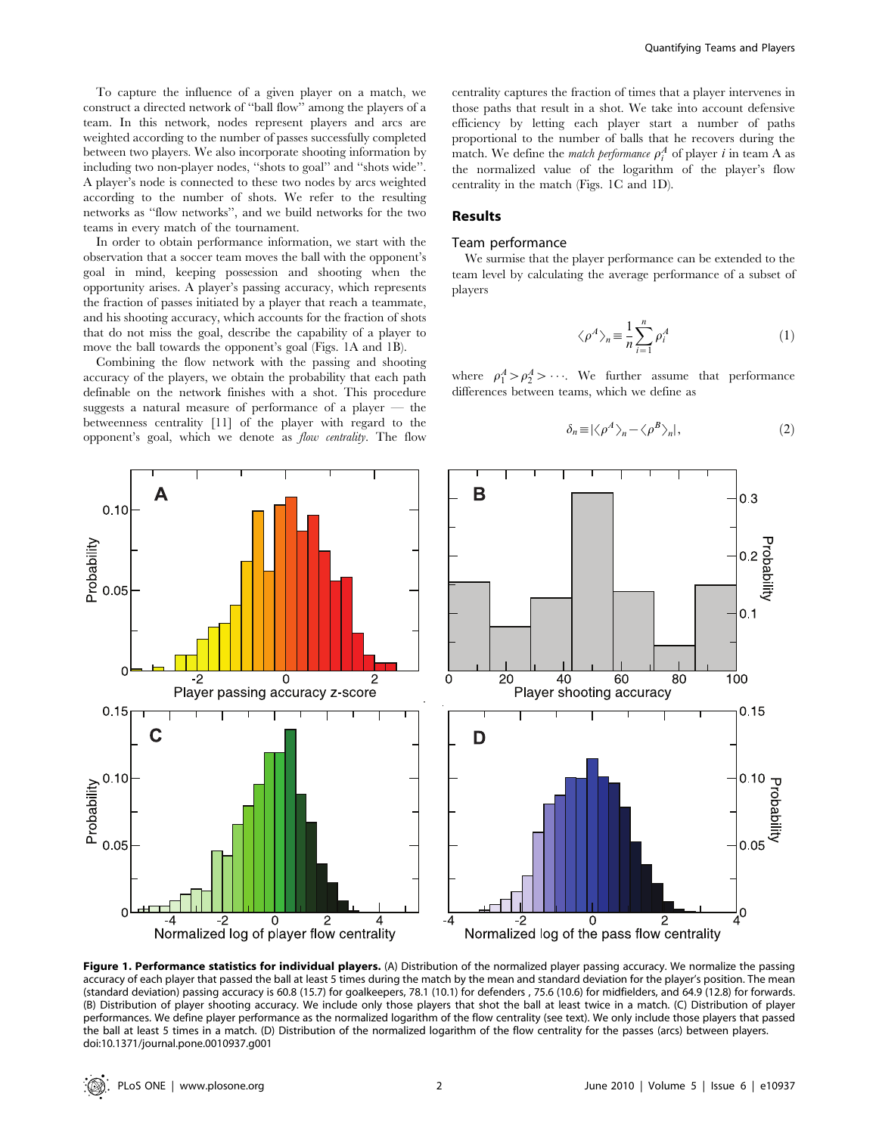To capture the influence of a given player on a match, we construct a directed network of ''ball flow'' among the players of a team. In this network, nodes represent players and arcs are weighted according to the number of passes successfully completed between two players. We also incorporate shooting information by including two non-player nodes, ''shots to goal'' and ''shots wide''. A player's node is connected to these two nodes by arcs weighted according to the number of shots. We refer to the resulting networks as ''flow networks'', and we build networks for the two teams in every match of the tournament.

In order to obtain performance information, we start with the observation that a soccer team moves the ball with the opponent's goal in mind, keeping possession and shooting when the opportunity arises. A player's passing accuracy, which represents the fraction of passes initiated by a player that reach a teammate, and his shooting accuracy, which accounts for the fraction of shots that do not miss the goal, describe the capability of a player to move the ball towards the opponent's goal (Figs. 1A and 1B).

Combining the flow network with the passing and shooting accuracy of the players, we obtain the probability that each path definable on the network finishes with a shot. This procedure suggests a natural measure of performance of a player — the betweenness centrality [11] of the player with regard to the opponent's goal, which we denote as flow centrality. The flow

centrality captures the fraction of times that a player intervenes in those paths that result in a shot. We take into account defensive efficiency by letting each player start a number of paths proportional to the number of balls that he recovers during the match. We define the *match performance*  $\rho_i^A$  of player *i* in team A as the normalized value of the logarithm of the player's flow centrality in the match (Figs. 1C and 1D).

#### Results

#### Team performance

We surmise that the player performance can be extended to the team level by calculating the average performance of a subset of players

$$
\langle \rho^A \rangle_n \equiv \frac{1}{n} \sum_{i=1}^n \rho_i^A \tag{1}
$$

where  $\rho_1^A > \rho_2^A > \cdots$ . We further assume that performance differences between teams, which we define as

$$
\delta_n \equiv |\langle \rho^A \rangle_n - \langle \rho^B \rangle_n|,\tag{2}
$$



Figure 1. Performance statistics for individual players. (A) Distribution of the normalized player passing accuracy. We normalize the passing accuracy of each player that passed the ball at least 5 times during the match by the mean and standard deviation for the player's position. The mean (standard deviation) passing accuracy is 60.8 (15.7) for goalkeepers, 78.1 (10.1) for defenders , 75.6 (10.6) for midfielders, and 64.9 (12.8) for forwards. (B) Distribution of player shooting accuracy. We include only those players that shot the ball at least twice in a match. (C) Distribution of player performances. We define player performance as the normalized logarithm of the flow centrality (see text). We only include those players that passed the ball at least 5 times in a match. (D) Distribution of the normalized logarithm of the flow centrality for the passes (arcs) between players. doi:10.1371/journal.pone.0010937.g001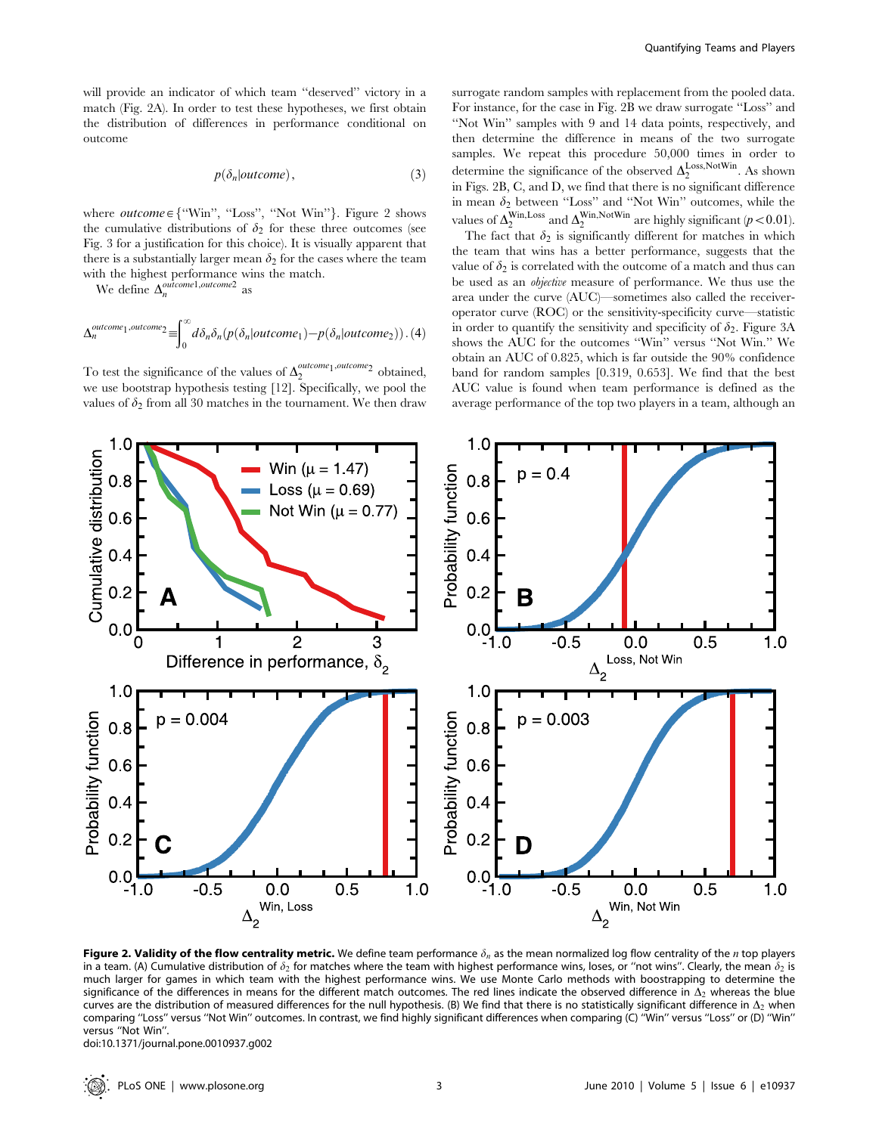will provide an indicator of which team ''deserved'' victory in a match (Fig. 2A). In order to test these hypotheses, we first obtain the distribution of differences in performance conditional on outcome

$$
p(\delta_n|outcome),\tag{3}
$$

where  $outcome \in \{``Win", "Loss", "Not Win"}\}$ . Figure 2 shows the cumulative distributions of  $\delta_2$  for these three outcomes (see Fig. 3 for a justification for this choice). It is visually apparent that there is a substantially larger mean  $\delta_2$  for the cases where the team with the highest performance wins the match.

We define  $\Delta_n^{outcome1,outcome2}$  as

$$
\Delta_n^{outcome_1, outcome_2} \equiv \int_0^\infty d\delta_n \delta_n(p(\delta_n|outcome_1) - p(\delta_n|outcome_2)) . (4)
$$

To test the significance of the values of  $\Delta_2^{outcome_1,outcome_2}$  obtained, we use bootstrap hypothesis testing [12]. Specifically, we pool the values of  $\delta_2$  from all 30 matches in the tournament. We then draw surrogate random samples with replacement from the pooled data. For instance, for the case in Fig. 2B we draw surrogate ''Loss'' and ''Not Win'' samples with 9 and 14 data points, respectively, and then determine the difference in means of the two surrogate samples. We repeat this procedure 50,000 times in order to determine the significance of the observed  $\Delta_2^{\text{Loss}, \text{NotWin}}$ . As shown in Figs. 2B, C, and D, we find that there is no significant difference in mean  $\delta_2$  between "Loss" and "Not Win" outcomes, while the values of  $\Delta_2^{\text{Win}, \text{Loss}}$  and  $\Delta_2^{\text{Win}, \text{NotWin}}$  are highly significant ( $p < 0.01$ ).

The fact that  $\delta_2$  is significantly different for matches in which the team that wins has a better performance, suggests that the value of  $\delta_2$  is correlated with the outcome of a match and thus can be used as an objective measure of performance. We thus use the area under the curve (AUC)—sometimes also called the receiveroperator curve (ROC) or the sensitivity-specificity curve—statistic in order to quantify the sensitivity and specificity of  $\delta_2$ . Figure 3A shows the AUC for the outcomes ''Win'' versus ''Not Win.'' We obtain an AUC of 0.825, which is far outside the 90% confidence band for random samples [0.319, 0.653]. We find that the best AUC value is found when team performance is defined as the average performance of the top two players in a team, although an



Figure 2. Validity of the flow centrality metric. We define team performance  $\delta_n$  as the mean normalized log flow centrality of the *n* top players in a team. (A) Cumulative distribution of  $\delta_2$  for matches where the team with highest performance wins, loses, or "not wins". Clearly, the mean  $\delta_2$  is much larger for games in which team with the highest performance wins. We use Monte Carlo methods with boostrapping to determine the significance of the differences in means for the different match outcomes. The red lines indicate the observed difference in  $\Delta_2$  whereas the blue curves are the distribution of measured differences for the null hypothesis. (B) We find that there is no statistically significant difference in  $\Delta_2$  when comparing ''Loss'' versus ''Not Win'' outcomes. In contrast, we find highly significant differences when comparing (C) ''Win'' versus ''Loss'' or (D) ''Win'' versus ''Not Win''.

doi:10.1371/journal.pone.0010937.g002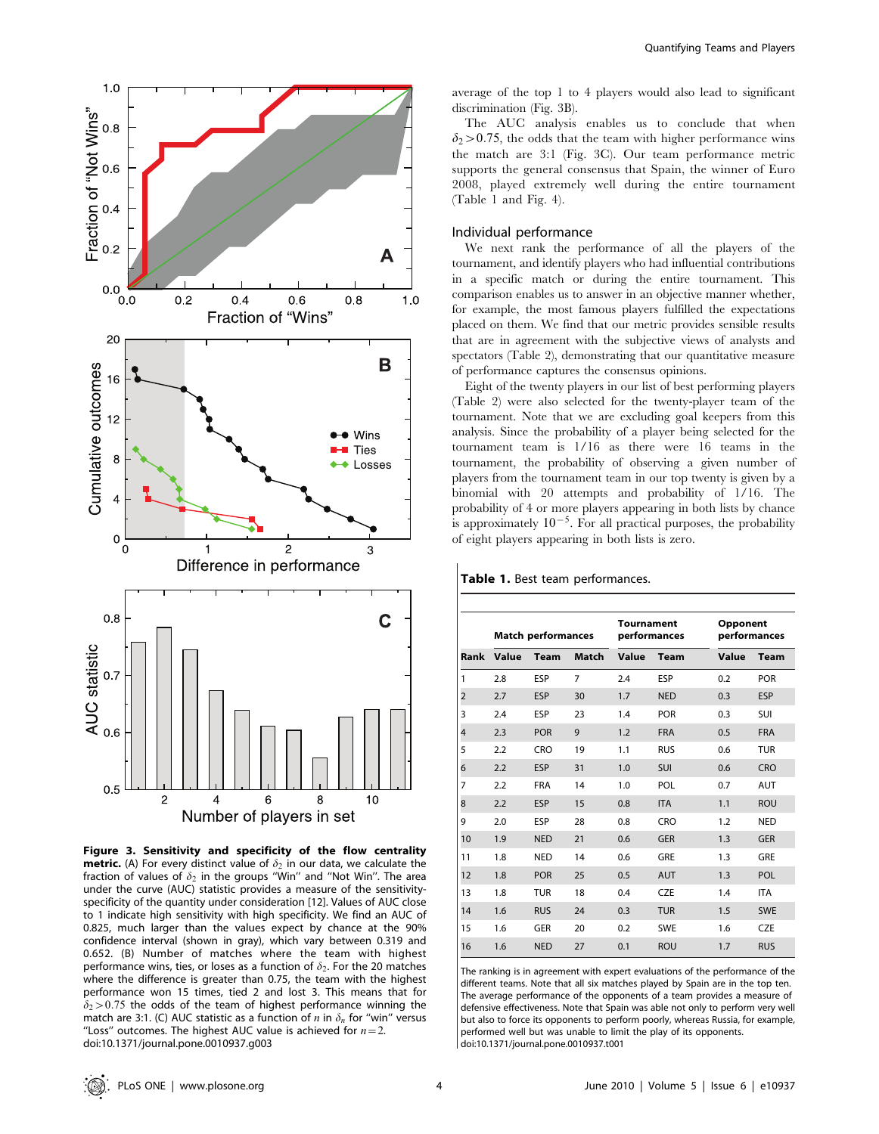



average of the top 1 to 4 players would also lead to significant discrimination (Fig. 3B).

The AUC analysis enables us to conclude that when  $\delta_2$  > 0.75, the odds that the team with higher performance wins the match are 3:1 (Fig. 3C). Our team performance metric supports the general consensus that Spain, the winner of Euro 2008, played extremely well during the entire tournament (Table 1 and Fig. 4).

#### Individual performance

We next rank the performance of all the players of the tournament, and identify players who had influential contributions in a specific match or during the entire tournament. This comparison enables us to answer in an objective manner whether, for example, the most famous players fulfilled the expectations placed on them. We find that our metric provides sensible results that are in agreement with the subjective views of analysts and spectators (Table 2), demonstrating that our quantitative measure of performance captures the consensus opinions.

Eight of the twenty players in our list of best performing players (Table 2) were also selected for the twenty-player team of the tournament. Note that we are excluding goal keepers from this analysis. Since the probability of a player being selected for the tournament team is 1/16 as there were 16 teams in the tournament, the probability of observing a given number of players from the tournament team in our top twenty is given by a binomial with 20 attempts and probability of 1/16. The probability of 4 or more players appearing in both lists by chance is approximately  $10^{-5}$ . For all practical purposes, the probability of eight players appearing in both lists is zero.

|      | <b>Match performances</b> |             |       | <b>Tournament</b><br>performances |             | Opponent<br>performances |             |
|------|---------------------------|-------------|-------|-----------------------------------|-------------|--------------------------|-------------|
| Rank | Value                     | <b>Team</b> | Match | Value                             | <b>Team</b> | Value                    | <b>Team</b> |
| 1    | 2.8                       | ESP         | 7     | 2.4                               | <b>ESP</b>  | 0.2                      | <b>POR</b>  |
| 2    | 2.7                       | <b>ESP</b>  | 30    | 1.7                               | <b>NED</b>  | 0.3                      | <b>ESP</b>  |
| 3    | 2.4                       | <b>ESP</b>  | 23    | 1.4                               | <b>POR</b>  | 0.3                      | SUI         |
| 4    | 2.3                       | <b>POR</b>  | 9     | 1.2                               | <b>FRA</b>  | 0.5                      | <b>FRA</b>  |
| 5    | 2.2                       | CRO         | 19    | 1.1                               | <b>RUS</b>  | 0.6                      | <b>TUR</b>  |
| 6    | 2.2                       | <b>ESP</b>  | 31    | 1.0                               | <b>SUI</b>  | 0.6                      | CRO         |
| 7    | 2.2                       | <b>FRA</b>  | 14    | 1.0                               | POL         | 0.7                      | <b>AUT</b>  |
| 8    | 2.2                       | ESP         | 15    | 0.8                               | <b>ITA</b>  | 1.1                      | <b>ROU</b>  |
| 9    | 2.0                       | ESP         | 28    | 0.8                               | CRO         | 1.2                      | <b>NED</b>  |
| 10   | 1.9                       | <b>NED</b>  | 21    | 0.6                               | <b>GER</b>  | 1.3                      | <b>GER</b>  |
| 11   | 1.8                       | <b>NED</b>  | 14    | 0.6                               | GRE         | 1.3                      | GRE         |
| 12   | 1.8                       | <b>POR</b>  | 25    | 0.5                               | <b>AUT</b>  | 1.3                      | POL         |
| 13   | 1.8                       | <b>TUR</b>  | 18    | 0.4                               | <b>CZE</b>  | 1.4                      | <b>ITA</b>  |
| 14   | 1.6                       | <b>RUS</b>  | 24    | 0.3                               | <b>TUR</b>  | 1.5                      | <b>SWE</b>  |
| 15   | 1.6                       | GER         | 20    | 0.2                               | <b>SWE</b>  | 1.6                      | <b>CZE</b>  |
| 16   | 1.6                       | <b>NED</b>  | 27    | 0.1                               | <b>ROU</b>  | 1.7                      | <b>RUS</b>  |

Table 1. Best team performances.

The ranking is in agreement with expert evaluations of the performance of the different teams. Note that all six matches played by Spain are in the top ten. The average performance of the opponents of a team provides a measure of defensive effectiveness. Note that Spain was able not only to perform very well but also to force its opponents to perform poorly, whereas Russia, for example, performed well but was unable to limit the play of its opponents. doi:10.1371/journal.pone.0010937.t001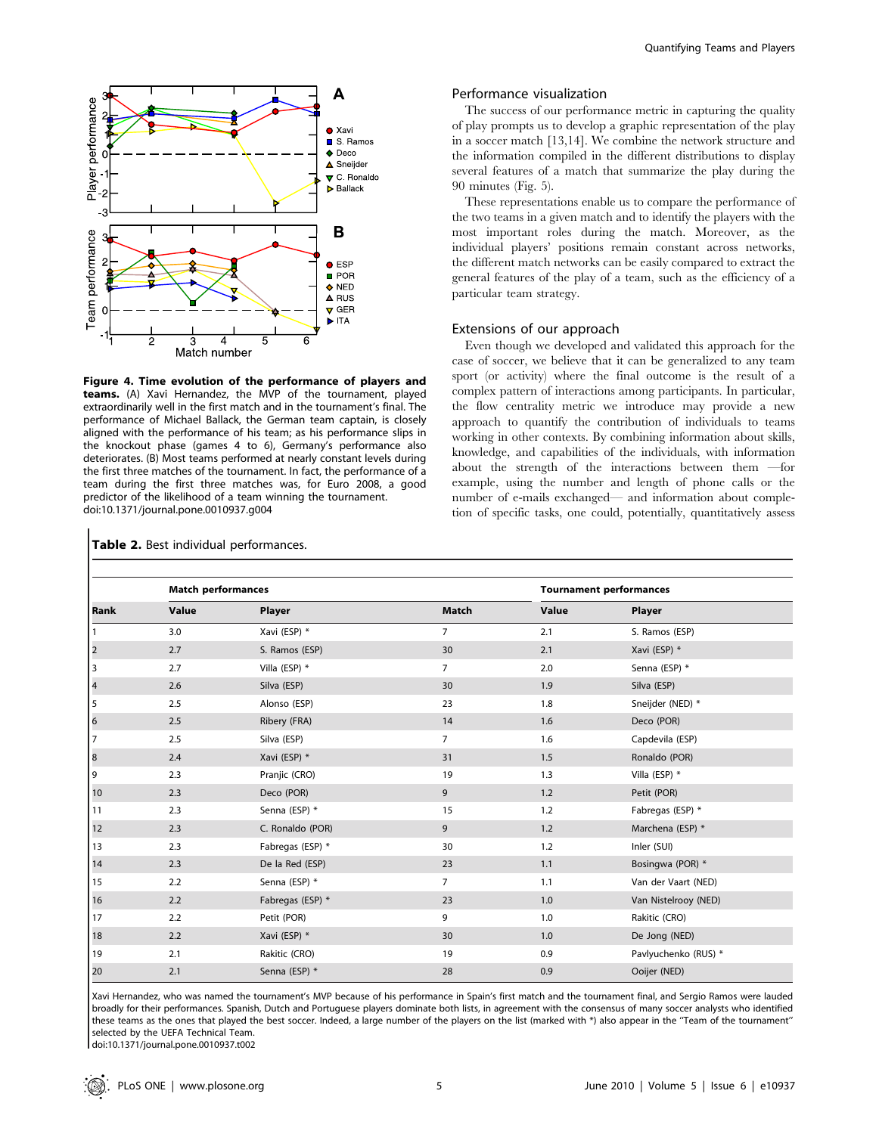

Figure 4. Time evolution of the performance of players and teams. (A) Xavi Hernandez, the MVP of the tournament, played extraordinarily well in the first match and in the tournament's final. The performance of Michael Ballack, the German team captain, is closely aligned with the performance of his team; as his performance slips in the knockout phase (games 4 to 6), Germany's performance also deteriorates. (B) Most teams performed at nearly constant levels during the first three matches of the tournament. In fact, the performance of a team during the first three matches was, for Euro 2008, a good predictor of the likelihood of a team winning the tournament. doi:10.1371/journal.pone.0010937.g004

#### Performance visualization

The success of our performance metric in capturing the quality of play prompts us to develop a graphic representation of the play in a soccer match [13,14]. We combine the network structure and the information compiled in the different distributions to display several features of a match that summarize the play during the 90 minutes (Fig. 5).

These representations enable us to compare the performance of the two teams in a given match and to identify the players with the most important roles during the match. Moreover, as the individual players' positions remain constant across networks, the different match networks can be easily compared to extract the general features of the play of a team, such as the efficiency of a particular team strategy.

#### Extensions of our approach

Even though we developed and validated this approach for the case of soccer, we believe that it can be generalized to any team sport (or activity) where the final outcome is the result of a complex pattern of interactions among participants. In particular, the flow centrality metric we introduce may provide a new approach to quantify the contribution of individuals to teams working in other contexts. By combining information about skills, knowledge, and capabilities of the individuals, with information about the strength of the interactions between them —for example, using the number and length of phone calls or the number of e-mails exchanged— and information about completion of specific tasks, one could, potentially, quantitatively assess

|                         | <b>Match performances</b> |                  | <b>Tournament performances</b> |       |                      |
|-------------------------|---------------------------|------------------|--------------------------------|-------|----------------------|
| Rank                    | Value                     | Player           | Match                          | Value | Player               |
| $\overline{1}$          | 3.0                       | Xavi (ESP) *     | $\overline{7}$                 | 2.1   | S. Ramos (ESP)       |
| $\overline{\mathbf{c}}$ | 2.7                       | S. Ramos (ESP)   | 30                             | 2.1   | Xavi (ESP) *         |
| 3                       | 2.7                       | Villa (ESP) $*$  | $\overline{7}$                 | 2.0   | Senna (ESP) *        |
| $\overline{4}$          | 2.6                       | Silva (ESP)      | 30                             | 1.9   | Silva (ESP)          |
| 5                       | 2.5                       | Alonso (ESP)     | 23                             | 1.8   | Sneijder (NED) *     |
| 6                       | 2.5                       | Ribery (FRA)     | 14                             | 1.6   | Deco (POR)           |
| 7                       | 2.5                       | Silva (ESP)      | $\overline{7}$                 | 1.6   | Capdevila (ESP)      |
| 8                       | 2.4                       | Xavi (ESP) *     | 31                             | 1.5   | Ronaldo (POR)        |
| 9                       | 2.3                       | Pranjic (CRO)    | 19                             | 1.3   | Villa (ESP) *        |
| 10                      | 2.3                       | Deco (POR)       | 9                              | 1.2   | Petit (POR)          |
| 11                      | 2.3                       | Senna (ESP) *    | 15                             | 1.2   | Fabregas (ESP) *     |
| 12                      | 2.3                       | C. Ronaldo (POR) | 9                              | 1.2   | Marchena (ESP) *     |
| 13                      | 2.3                       | Fabregas (ESP) * | 30                             | 1.2   | Inler (SUI)          |
| 14                      | 2.3                       | De la Red (ESP)  | 23                             | 1.1   | Bosingwa (POR) *     |
| 15                      | 2.2                       | Senna (ESP) *    | $\overline{7}$                 | 1.1   | Van der Vaart (NED)  |
| 16                      | 2.2                       | Fabregas (ESP) * | 23                             | 1.0   | Van Nistelrooy (NED) |
| 17                      | 2.2                       | Petit (POR)      | 9                              | 1.0   | Rakitic (CRO)        |
| 18                      | 2.2                       | Xavi (ESP) *     | 30                             | 1.0   | De Jong (NED)        |
| 19                      | 2.1                       | Rakitic (CRO)    | 19                             | 0.9   | Pavlyuchenko (RUS) * |
| 20                      | 2.1                       | Senna (ESP) *    | 28                             | 0.9   | Ooijer (NED)         |

Xavi Hernandez, who was named the tournament's MVP because of his performance in Spain's first match and the tournament final, and Sergio Ramos were lauded broadly for their performances. Spanish, Dutch and Portuguese players dominate both lists, in agreement with the consensus of many soccer analysts who identified these teams as the ones that played the best soccer. Indeed, a large number of the players on the list (marked with \*) also appear in the ''Team of the tournament'' selected by the UEFA Technical Team.

doi:10.1371/journal.pone.0010937.t002

## Table 2. Best individual performances.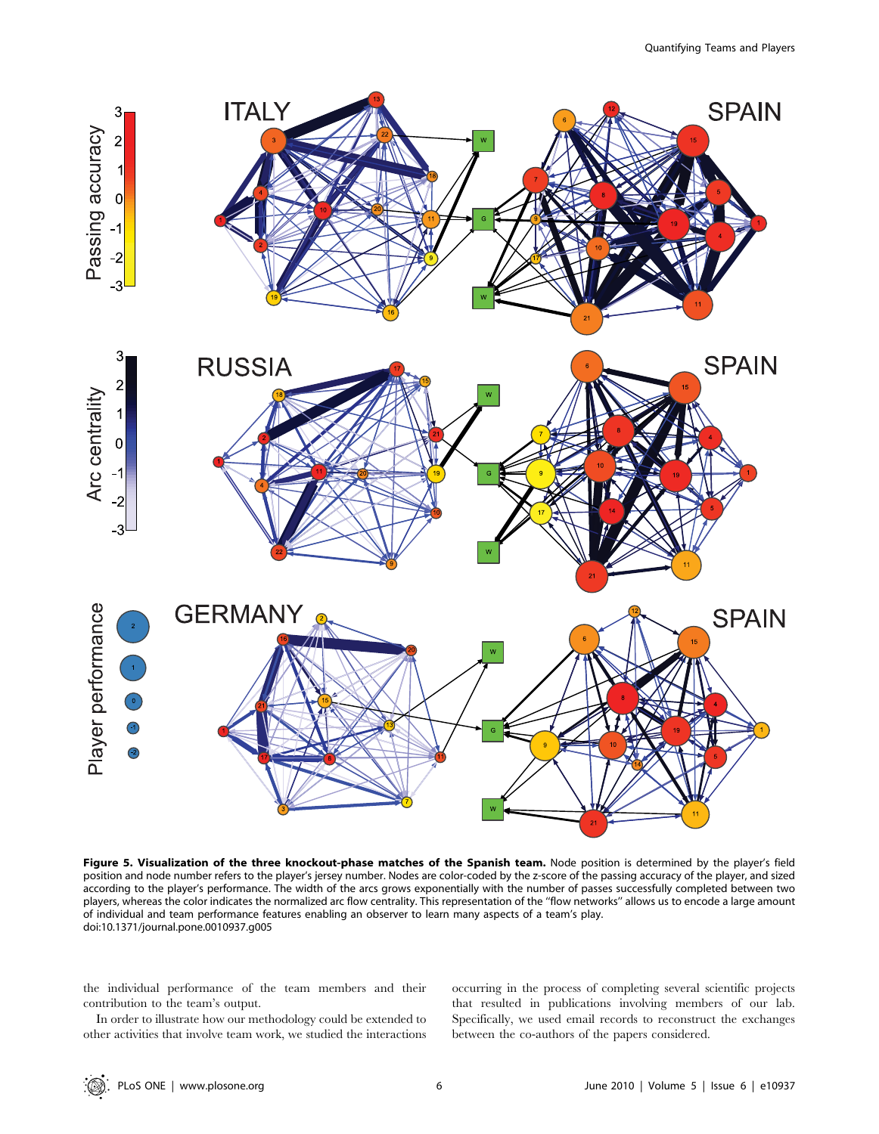

Figure 5. Visualization of the three knockout-phase matches of the Spanish team. Node position is determined by the player's field position and node number refers to the player's jersey number. Nodes are color-coded by the z-score of the passing accuracy of the player, and sized according to the player's performance. The width of the arcs grows exponentially with the number of passes successfully completed between two players, whereas the color indicates the normalized arc flow centrality. This representation of the ''flow networks'' allows us to encode a large amount of individual and team performance features enabling an observer to learn many aspects of a team's play. doi:10.1371/journal.pone.0010937.g005

the individual performance of the team members and their contribution to the team's output.

In order to illustrate how our methodology could be extended to other activities that involve team work, we studied the interactions occurring in the process of completing several scientific projects that resulted in publications involving members of our lab. Specifically, we used email records to reconstruct the exchanges between the co-authors of the papers considered.